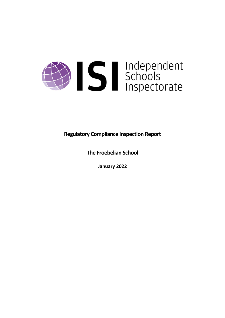

**Regulatory Compliance Inspection Report**

**The Froebelian School**

**January 2022**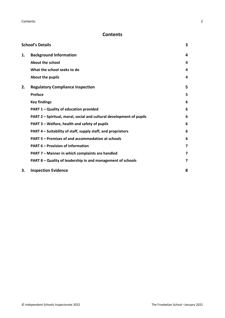# **Contents**

|    | <b>School's Details</b>                                              | 3 |
|----|----------------------------------------------------------------------|---|
| 1. | <b>Background Information</b>                                        | 4 |
|    | <b>About the school</b>                                              | 4 |
|    | What the school seeks to do                                          | 4 |
|    | About the pupils                                                     | 4 |
| 2. | <b>Regulatory Compliance Inspection</b>                              | 5 |
|    | <b>Preface</b>                                                       | 5 |
|    | <b>Key findings</b>                                                  | 6 |
|    | PART 1 - Quality of education provided                               | 6 |
|    | PART 2 - Spiritual, moral, social and cultural development of pupils | 6 |
|    | PART 3 - Welfare, health and safety of pupils                        | 6 |
|    | PART 4 – Suitability of staff, supply staff, and proprietors         | 6 |
|    | PART 5 - Premises of and accommodation at schools                    | 6 |
|    | <b>PART 6 - Provision of information</b>                             | 7 |
|    | PART 7 - Manner in which complaints are handled                      | 7 |
|    | PART 8 - Quality of leadership in and management of schools          | 7 |
| 3. | <b>Inspection Evidence</b>                                           | 8 |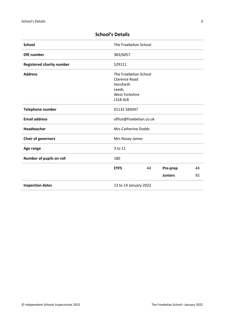| <b>School</b>                    | The Froebelian School                                                                                    |    |                |    |
|----------------------------------|----------------------------------------------------------------------------------------------------------|----|----------------|----|
| <b>DfE</b> number                | 383/6057                                                                                                 |    |                |    |
| <b>Registered charity number</b> | 529111                                                                                                   |    |                |    |
| <b>Address</b>                   | The Froebelian School<br><b>Clarence Road</b><br>Horsforth<br>Leeds<br>West Yorkshire<br><b>LS18 4LB</b> |    |                |    |
| <b>Telephone number</b>          | 01132 583047                                                                                             |    |                |    |
| <b>Email address</b>             | office@froebelian.co.uk                                                                                  |    |                |    |
| <b>Headteacher</b>               | <b>Mrs Catherine Dodds</b>                                                                               |    |                |    |
| <b>Chair of governors</b>        | Mrs Rosey James                                                                                          |    |                |    |
| Age range                        | 3 to 11                                                                                                  |    |                |    |
| Number of pupils on roll         | 180                                                                                                      |    |                |    |
|                                  | <b>EYFS</b>                                                                                              | 44 | Pre-prep       | 44 |
|                                  |                                                                                                          |    | <b>Juniors</b> | 92 |
| <b>Inspection dates</b>          | 12 to 14 January 2022                                                                                    |    |                |    |

# <span id="page-2-0"></span>**School's Details**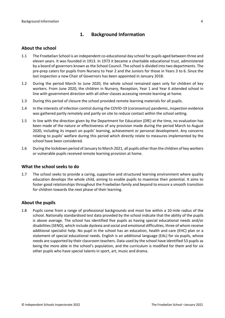# <span id="page-3-0"></span>**1. Background Information**

## <span id="page-3-1"></span>**About the school**

- 1.1 The Froebelian School is an independent co-educational day school for pupils aged between three and eleven years. It was founded in 1913. In 1973 it became a charitable educational trust, administered by a board of governors known as the School Council. The school is divided into two departments. The pre-prep caters for pupils from Nursery to Year 2 and the Juniors for those in Years 3 to 6. Since the last inspection a new Chair of Governors has been appointed in January 2018.
- 1.2 During the period March to June 2020, the whole school remained open only for children of key workers. From June 2020, the children in Nursery, Reception, Year 1 and Year 6 attended school in line with government direction with all other classes accessing remote learning at home.
- 1.3 During this period of closure the school provided remote learning materials for all pupils.
- 1.4 In the interests of infection control during the COVID-19 (coronavirus) pandemic, inspection evidence was gathered partly remotely and partly on site to reduce contact within the school setting.
- 1.5 In line with the direction given by the Department for Education (DfE) at the time, no evaluation has been made of the nature or effectiveness of any provision made during the period March to August 2020, including its impact on pupils' learning, achievement or personal development. Any concerns relating to pupils' welfare during this period which directly relate to measures implemented by the school have been considered.
- 1.6 During the lockdown period of January to March 2021, all pupils other than the children of key workers or vulnerable pupils received remote learning provision at home.

### <span id="page-3-2"></span>**What the school seeks to do**

1.7 The school seeks to provide a caring, supportive and structured learning environment where quality education develops the whole child, aiming to enable pupils to maximise their potential. It aims to foster good relationships throughout the Froebelian family and beyond to ensure a smooth transition for children towards the next phase of their learning.

### <span id="page-3-3"></span>**About the pupils**

1.8 Pupils come from a range of professional backgrounds and most live within a 10-mile radius of the school. Nationally standardised test data provided by the school indicate that the ability of the pupils is above average. The school has identified five pupils as having special educational needs and/or disabilities (SEND), which include dyslexia and social and emotional difficulties, three of whom receive additional specialist help. No pupil in the school has an education, health and care (EHC) plan or a statement of special educational needs. English is an additional language (EAL) for six pupils, whose needs are supported by their classroom teachers. Data used by the school have identified 53 pupils as being the more able in the school's population, and the curriculum is modified for them and for six other pupils who have special talents in sport, art, music and drama.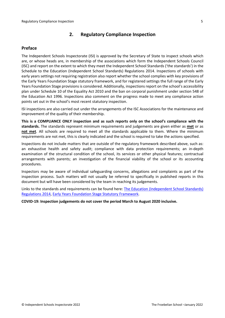# <span id="page-4-0"></span>**2. Regulatory Compliance Inspection**

## <span id="page-4-1"></span>**Preface**

The Independent Schools Inspectorate (ISI) is approved by the Secretary of State to inspect schools which are, or whose heads are, in membership of the associations which form the Independent Schools Council (ISC) and report on the extent to which they meet the Independent School Standards ('the standards') in the Schedule to the Education (Independent School Standards) Regulations 2014. Inspections of schools with early years settings not requiring registration also report whether the school complies with key provisions of the Early Years Foundation Stage statutory framework, and for registered settings the full range of the Early Years Foundation Stage provisions is considered. Additionally, inspections report on the school's accessibility plan under Schedule 10 of the Equality Act 2010 and the ban on corporal punishment under section 548 of the Education Act 1996. Inspections also comment on the progress made to meet any compliance action points set out in the school's most recent statutory inspection.

ISI inspections are also carried out under the arrangements of the ISC Associations for the maintenance and improvement of the quality of their membership.

**This is a COMPLIANCE ONLY inspection and as such reports only on the school's compliance with the standards.** The standards represent minimum requirements and judgements are given either as **met** or as **not met**. All schools are required to meet all the standards applicable to them. Where the minimum requirements are not met, this is clearly indicated and the school is required to take the actions specified.

Inspections do not include matters that are outside of the regulatory framework described above, such as: an exhaustive health and safety audit; compliance with data protection requirements; an in-depth examination of the structural condition of the school, its services or other physical features; contractual arrangements with parents; an investigation of the financial viability of the school or its accounting procedures.

Inspectors may be aware of individual safeguarding concerns, allegations and complaints as part of the inspection process. Such matters will not usually be referred to specifically in published reports in this document but will have been considered by the team in reaching its judgements.

Links to the standards and requirements can be found here: The Education [\(Independent](http://www.legislation.gov.uk/uksi/2014/3283/contents/made) School Standards) [Regulations](http://www.legislation.gov.uk/uksi/2014/3283/contents/made) 2014, Early Years Foundation Stage Statutory [Framework.](https://www.gov.uk/government/publications/early-years-foundation-stage-framework--2)

**COVID-19: Inspection judgements do not cover the period March to August 2020 inclusive.**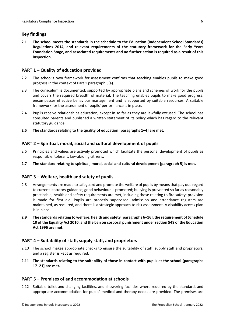# <span id="page-5-0"></span>**Key findings**

**2.1 The school meets the standards in the schedule to the Education (Independent School Standards) Regulations 2014, and relevant requirements of the statutory framework for the Early Years Foundation Stage, and associated requirements and no further action is required as a result of this inspection.**

# <span id="page-5-1"></span>**PART 1 – Quality of education provided**

- 2.2 The school's own framework for assessment confirms that teaching enables pupils to make good progress in the context of Part 1 paragraph 3(a).
- 2.3 The curriculum is documented, supported by appropriate plans and schemes of work for the pupils and covers the required breadth of material. The teaching enables pupils to make good progress, encompasses effective behaviour management and is supported by suitable resources. A suitable framework for the assessment of pupils' performance is in place.
- 2.4 Pupils receive relationships education, except in so far as they are lawfully excused. The school has consulted parents and published a written statement of its policy which has regard to the relevant statutory guidance.
- **2.5 The standards relating to the quality of education [paragraphs 1–4] are met.**

# <span id="page-5-2"></span>**PART 2 – Spiritual, moral, social and cultural development of pupils**

- 2.6 Principles and values are actively promoted which facilitate the personal development of pupils as responsible, tolerant, law-abiding citizens.
- **2.7 The standard relating to spiritual, moral, social and cultural development [paragraph 5] is met.**

## <span id="page-5-3"></span>**PART 3 – Welfare, health and safety of pupils**

- 2.8 Arrangements are made to safeguard and promote the welfare of pupils by means that pay due regard to current statutory guidance; good behaviour is promoted; bullying is prevented so far as reasonably practicable; health and safety requirements are met, including those relating to fire safety; provision is made for first aid. Pupils are properly supervised; admission and attendance registers are maintained, as required, and there is a strategic approach to risk assessment. A disability access plan is in place.
- **2.9 The standardsrelating to welfare, health and safety [paragraphs 6–16], the requirement of Schedule 10 of the Equality Act 2010, and the ban on corporal punishment undersection 548 of the Education Act 1996 are met.**

## <span id="page-5-4"></span>**PART 4 – Suitability of staff, supply staff, and proprietors**

- 2.10 The school makes appropriate checks to ensure the suitability of staff, supply staff and proprietors, and a register is kept as required.
- **2.11 The standards relating to the suitability of those in contact with pupils at the school [paragraphs 17–21] are met.**

## <span id="page-5-5"></span>**PART 5 – Premises of and accommodation at schools**

2.12 Suitable toilet and changing facilities, and showering facilities where required by the standard, and appropriate accommodation for pupils' medical and therapy needs are provided. The premises are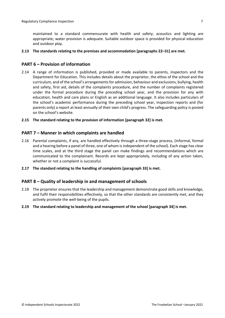maintained to a standard commensurate with health and safety; acoustics and lighting are appropriate; water provision is adequate. Suitable outdoor space is provided for physical education and outdoor play.

#### **2.13 The standards relating to the premises and accommodation [paragraphs 22–31] are met.**

## <span id="page-6-0"></span>**PART 6 – Provision of information**

2.14 A range of information is published, provided or made available to parents, inspectors and the Department for Education. This includes details about the proprietor, the ethos of the school and the curriculum, and of the school's arrangementsfor admission, behaviour and exclusions, bullying, health and safety, first aid, details of the complaints procedure, and the number of complaints registered under the formal procedure during the preceding school year, and the provision for any with education, health and care plans or English as an additional language. It also includes particulars of the school's academic performance during the preceding school year, inspection reports and (for parents only) a report at least annually of their own child's progress. The safeguarding policy is posted on the school's website.

#### **2.15 The standard relating to the provision of information [paragraph 32] is met.**

### <span id="page-6-1"></span>**PART 7 – Manner in which complaints are handled**

- 2.16 Parental complaints, if any, are handled effectively through a three-stage process, (informal, formal and a hearing before a panel of three, one of whom is independent of the school). Each stage has clear time scales, and at the third stage the panel can make findings and recommendations which are communicated to the complainant. Records are kept appropriately, including of any action taken, whether or not a complaint is successful.
- **2.17 The standard relating to the handling of complaints [paragraph 33] is met.**

### <span id="page-6-2"></span>**PART 8 – Quality of leadership in and management of schools**

- 2.18 The proprietor ensures that the leadership and management demonstrate good skills and knowledge, and fulfil their responsibilities effectively, so that the other standards are consistently met, and they actively promote the well-being of the pupils.
- **2.19 The standard relating to leadership and management of the school [paragraph 34] is met.**